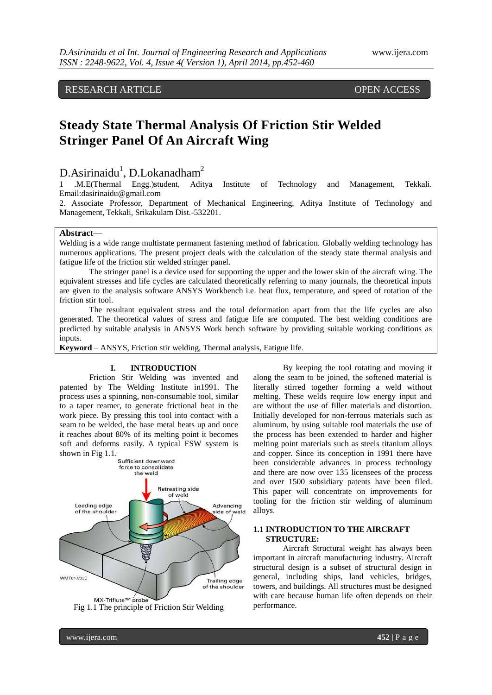RESEARCH ARTICLE **CONTRACT ARTICLE** AND THE OPEN ACCESS

# **Steady State Thermal Analysis Of Friction Stir Welded Stringer Panel Of An Aircraft Wing**

## $D.A$ sirinaidu<sup>1</sup>, D.Lokanadham<sup>2</sup>

1 .M.E(Thermal Engg.)student, Aditya Institute of Technology and Management, Tekkali. Email:dasirinaidu@gmail.com

2. Associate Professor, Department of Mechanical Engineering, Aditya Institute of Technology and Management, Tekkali, Srikakulam Dist.-532201.

## **Abstract**—

Welding is a wide range multistate permanent fastening method of fabrication. Globally welding technology has numerous applications. The present project deals with the calculation of the steady state thermal analysis and fatigue life of the friction stir welded stringer panel.

The stringer panel is a device used for supporting the upper and the lower skin of the aircraft wing. The equivalent stresses and life cycles are calculated theoretically referring to many journals, the theoretical inputs are given to the analysis software ANSYS Workbench i.e. heat flux, temperature, and speed of rotation of the friction stir tool.

The resultant equivalent stress and the total deformation apart from that the life cycles are also generated. The theoretical values of stress and fatigue life are computed. The best welding conditions are predicted by suitable analysis in ANSYS Work bench software by providing suitable working conditions as inputs.

**Keyword** – ANSYS, Friction stir welding, Thermal analysis, Fatigue life.

#### **I. INTRODUCTION**

Friction Stir Welding was invented and patented by The Welding Institute in1991. The process uses a spinning, non-consumable tool, similar to a taper reamer, to generate frictional heat in the work piece. By pressing this tool into contact with a seam to be welded, the base metal heats up and once it reaches about 80% of its melting point it becomes soft and deforms easily. A typical FSW system is shown in Fig 1.1.



Fig 1.1 The principle of Friction Stir Welding

By keeping the tool rotating and moving it along the seam to be joined, the softened material is literally stirred together forming a weld without melting. These welds require low energy input and are without the use of filler materials and distortion. Initially developed for non-ferrous materials such as aluminum, by using suitable tool materials the use of the process has been extended to harder and higher melting point materials such as steels titanium alloys and copper. Since its conception in 1991 there have been considerable advances in process technology and there are now over 135 licensees of the process and over 1500 subsidiary patents have been filed. This paper will concentrate on improvements for tooling for the friction stir welding of aluminum alloys.

## **1.1 INTRODUCTION TO THE AIRCRAFT STRUCTURE:**

Aircraft Structural weight has always been important in aircraft manufacturing industry. Aircraft structural design is a subset of structural design in general, including ships, land vehicles, bridges, towers, and buildings. All structures must be designed with care because human life often depends on their performance.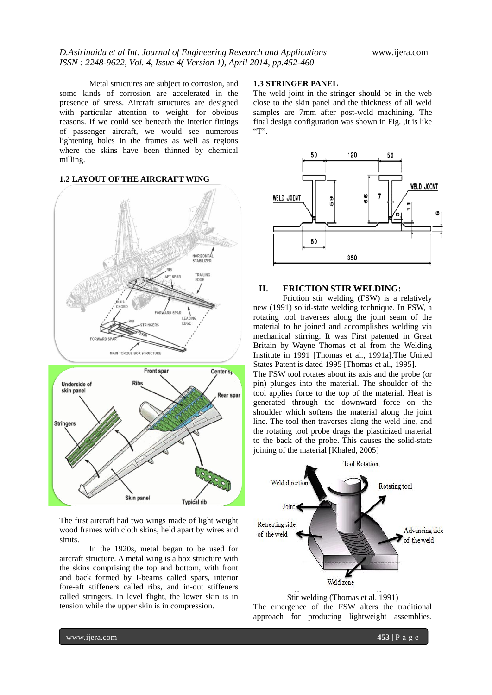Metal structures are subject to corrosion, and some kinds of corrosion are accelerated in the presence of stress. Aircraft structures are designed with particular attention to weight, for obvious reasons. If we could see beneath the interior fittings of passenger aircraft, we would see numerous lightening holes in the frames as well as regions where the skins have been thinned by chemical milling.

## **1.2 LAYOUT OF THE AIRCRAFT WING**



Skin panel **Typical rib** The first aircraft had two wings made of light weight wood frames with cloth skins, held apart by wires and

In the 1920s, metal began to be used for aircraft structure. A metal wing is a box structure with the skins comprising the top and bottom, with front and back formed by I-beams called spars, interior fore-aft stiffeners called ribs, and in-out stiffeners called stringers. In level flight, the lower skin is in tension while the upper skin is in compression.

## **1.3 STRINGER PANEL**

The weld joint in the stringer should be in the web close to the skin panel and the thickness of all weld samples are 7mm after post-weld machining. The final design configuration was shown in Fig. ,it is like  $T$ .



## **II. FRICTION STIR WELDING:**

Friction stir welding (FSW) is a relatively new (1991) solid-state welding technique. In FSW, a rotating tool traverses along the joint seam of the material to be joined and accomplishes welding via mechanical stirring. It was First patented in Great Britain by Wayne Thomas et al from the Welding Institute in 1991 [Thomas et al., 1991a].The United States Patent is dated 1995 [Thomas et al., 1995].

The FSW tool rotates about its axis and the probe (or pin) plunges into the material. The shoulder of the tool applies force to the top of the material. Heat is generated through the downward force on the shoulder which softens the material along the joint line. The tool then traverses along the weld line, and the rotating tool probe drags the plasticized material to the back of the probe. This causes the solid-state joining of the material [Khaled, 2005]



Stir welding (Thomas et al. 1991) The emergence of the FSW alters the traditional approach for producing lightweight assemblies.

struts.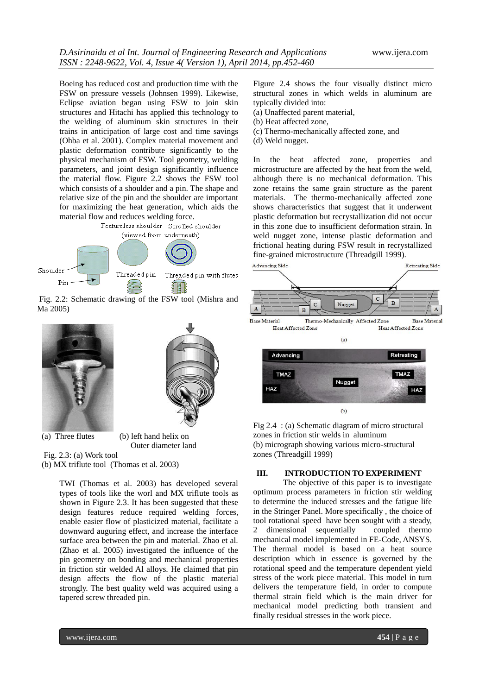Boeing has reduced cost and production time with the FSW on pressure vessels (Johnsen 1999). Likewise, Eclipse aviation began using FSW to join skin structures and Hitachi has applied this technology to the welding of aluminum skin structures in their trains in anticipation of large cost and time savings (Ohba et al. 2001). Complex material movement and plastic deformation contribute significantly to the physical mechanism of FSW. Tool geometry, welding parameters, and joint design significantly influence the material flow. Figure 2.2 shows the FSW tool which consists of a shoulder and a pin. The shape and relative size of the pin and the shoulder are important for maximizing the heat generation, which aids the material flow and reduces welding force.<br>Featureless shoulder Scrolled shoulder



Fig. 2.2: Schematic drawing of the FSW tool (Mishra and Ma 2005)



(a) Three flutes (b) left hand helix on

Outer diameter land

Fig. 2.3: (a) Work tool (b) MX triflute tool (Thomas et al. 2003)

> TWI (Thomas et al. 2003) has developed several types of tools like the worl and MX triflute tools as shown in Figure 2.3. It has been suggested that these design features reduce required welding forces, enable easier flow of plasticized material, facilitate a downward auguring effect, and increase the interface surface area between the pin and material. Zhao et al. (Zhao et al. 2005) investigated the influence of the pin geometry on bonding and mechanical properties in friction stir welded Al alloys. He claimed that pin design affects the flow of the plastic material strongly. The best quality weld was acquired using a tapered screw threaded pin.

Figure 2.4 shows the four visually distinct micro structural zones in which welds in aluminum are typically divided into:

- (a) Unaffected parent material,
- (b) Heat affected zone,
- (c) Thermo-mechanically affected zone, and
- (d) Weld nugget.

In the heat affected zone, properties and microstructure are affected by the heat from the weld, although there is no mechanical deformation. This zone retains the same grain structure as the parent materials. The thermo-mechanically affected zone shows characteristics that suggest that it underwent plastic deformation but recrystallization did not occur in this zone due to insufficient deformation strain. In weld nugget zone, intense plastic deformation and frictional heating during FSW result in recrystallized fine-grained microstructure (Threadgill 1999).



Fig 2.4 : (a) Schematic diagram of micro structural zones in friction stir welds in aluminum (b) micrograph showing various micro-structural zones (Threadgill 1999)

## **III. INTRODUCTION TO EXPERIMENT**

The objective of this paper is to investigate optimum process parameters in friction stir welding to determine the induced stresses and the fatigue life in the Stringer Panel. More specifically , the choice of tool rotational speed have been sought with a steady, 2 dimensional sequentially coupled thermo mechanical model implemented in FE-Code, ANSYS. The thermal model is based on a heat source description which in essence is governed by the rotational speed and the temperature dependent yield stress of the work piece material. This model in turn delivers the temperature field, in order to compute thermal strain field which is the main driver for mechanical model predicting both transient and finally residual stresses in the work piece.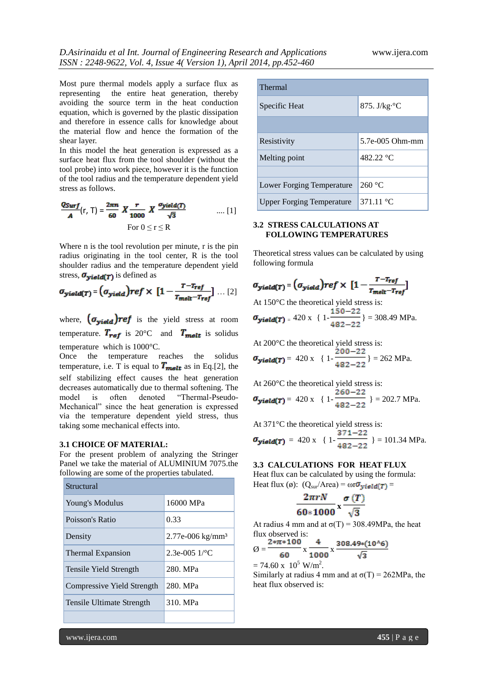Most pure thermal models apply a surface flux as representing the entire heat generation, thereby avoiding the source term in the heat conduction equation, which is governed by the plastic dissipation and therefore in essence calls for knowledge about the material flow and hence the formation of the shear layer.

In this model the heat generation is expressed as a surface heat flux from the tool shoulder (without the tool probe) into work piece, however it is the function of the tool radius and the temperature dependent yield stress as follows.

$$
\frac{Q_{Surf}}{A}(r, T) = \frac{2\pi n}{60} X \frac{r}{1000} X \frac{\sigma_{yield}(T)}{\sqrt{3}} \qquad \qquad \dots [1]
$$
  
For  $0 \le r \le R$ 

Where n is the tool revolution per minute, r is the pin radius originating in the tool center, R is the tool shoulder radius and the temperature dependent yield stress,  $\sigma_{yield(T)}$  is defined as

$$
\sigma_{\text{yield}(T)} = (\sigma_{\text{yield}})ref \times [1 - \frac{T - T_{\text{ref}}}{T_{\text{melt}} - T_{\text{ref}}}] \dots [2]
$$

where,  $(\sigma_{yield})$ ref is the yield stress at room temperature.  $T_{ref}$  is 20°C and  $T_{melt}$  is solidus temperature which is 1000°C.

Once the temperature reaches the solidus temperature, i.e. T is equal to  $T_{\text{melt}}$  as in Eq.[2], the self stabilizing effect causes the heat generation decreases automatically due to thermal softening. The model is often denoted "Thermal-Pseudo-Mechanical" since the heat generation is expressed via the temperature dependent yield stress, thus taking some mechanical effects into.

#### **3.1 CHOICE OF MATERIAL:**

For the present problem of analyzing the Stringer Panel we take the material of ALUMINIUM 7075.the following are some of the properties tabulated.

| Structural                 |                              |  |
|----------------------------|------------------------------|--|
| Young's Modulus            | 16000 MPa                    |  |
| Poisson's Ratio            | 0.33                         |  |
| Density                    | 2.77e-006 kg/mm <sup>3</sup> |  |
| Thermal Expansion          | 2.3e-005 1/°C                |  |
| Tensile Yield Strength     | 280. MPa                     |  |
| Compressive Yield Strength | 280. MPa                     |  |
| Tensile Ultimate Strength  | 310. MPa                     |  |
|                            |                              |  |

| <b>Thermal</b>                   |                      |  |
|----------------------------------|----------------------|--|
| Specific Heat                    | 875. J/kg $\cdot$ °C |  |
|                                  |                      |  |
| Resistivity                      | 5.7e-005 Ohm-mm      |  |
| Melting point                    | 482.22 °C            |  |
|                                  |                      |  |
| Lower Forging Temperature        | 260 °C               |  |
| <b>Upper Forging Temperature</b> | 371.11 °C            |  |

## **3.2 STRESS CALCULATIONS AT FOLLOWING TEMPERATURES**

Theoretical stress values can be calculated by using following formula

$$
\sigma_{yield(T)} = (\sigma_{yield})ref \times [1 - \frac{T - T_{ref}}{T_{melt} - T_{ref}}]
$$

At 150°C the theoretical yield stress is:  $\sigma_{yield(T)} = 420 \text{ x } \{1 - \frac{150 - 22}{482 - 22}\} = 308.49 \text{ MPa}.$ 

At 200°C the theoretical yield stress is:

$$
\sigma_{yield(T)} = 420 \text{ x } \{1 - \frac{200 - 22}{482 - 22}\} = 262 \text{ MPa}.
$$

At 260°C the theoretical yield stress is:  
\n
$$
\sigma_{yield}(r) = 420 \times \{1 - \frac{260 - 22}{482 - 22}\} = 202.7 \text{ MPa.}
$$

At 371°C the theoretical yield stress is:  
\n
$$
\sigma_{yield(T)} = 420 \times \{1 - \frac{371 - 22}{482 - 22} \} = 101.34 \text{ MPa.}
$$

#### **3.3 CALCULATIONS FOR HEAT FLUX**

Heat flux can be calculated by using the formula: Heat flux (ø):  $(Q_{sur}/Area) = \omega r \sigma_{yield(T)}$ 

$$
\frac{2\pi rN}{60*1000}\,\mathrm{x}\frac{\sigma(T)}{\sqrt{3}}
$$

At radius 4 mm and at  $\sigma(T) = 308.49 \text{MPa}$ , the heat flux observed is:

$$
\emptyset = \frac{2 * \pi * 100}{60} \times \frac{4}{1000} \times \frac{308.49 * (10^{6})}{\sqrt{3}}
$$

 $= 74.60 \text{ x } 10^5 \text{ W/m}^2$ .

Similarly at radius 4 mm and at  $\sigma(T) = 262MPa$ , the heat flux observed is:

www.ijera.com **455** | P a g e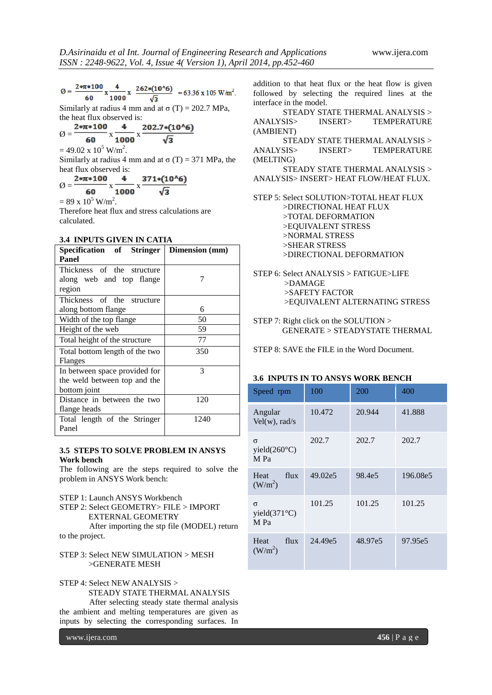$$
\emptyset = \frac{2 * \pi * 100}{60} \times \frac{4}{1000} \times \frac{262 * (10^{1/6})}{\sqrt{3}} = 63.36 \times 105 \text{ W/m}^2.
$$

Similarly at radius 4 mm and at  $\sigma(T) = 202.7 \text{ MPa}$ , the heat flux observed is:

$$
\varnothing = \frac{2 * \pi * 100}{60} \times \frac{4}{1000} \times \frac{202.7 * (10^{6})}{\sqrt{3}}
$$

 $= 49.02 \times 10^5$  W/m<sup>2</sup>.

Similarly at radius 4 mm and at  $\sigma(T) = 371$  MPa, the heat flux observed is:

$$
\emptyset = \frac{2*\pi*100}{60} \times \frac{4}{1000} \times \frac{371*(10^{16})}{\sqrt{3}}
$$

 $= 89 \times 10^5$  W/m<sup>2</sup>.

Therefore heat flux and stress calculations are calculated.

## **3.4 INPUTS GIVEN IN CATIA**

| Specification of Stringer      | Dimension (mm) |  |
|--------------------------------|----------------|--|
| Panel                          |                |  |
| Thickness of the structure     |                |  |
| along web and top flange       |                |  |
| region                         |                |  |
| Thickness of the structure     |                |  |
| along bottom flange            | 6              |  |
| Width of the top flange        | 50             |  |
| Height of the web              | 59             |  |
| Total height of the structure  | 77             |  |
| Total bottom length of the two | 350            |  |
| Flanges                        |                |  |
| In between space provided for  | 3              |  |
| the weld between top and the   |                |  |
| bottom joint                   |                |  |
| Distance in between the two    | 120            |  |
| flange heads                   |                |  |
| Total length of the Stringer   | 1240           |  |
| Panel                          |                |  |

## **3.5 STEPS TO SOLVE PROBLEM IN ANSYS Work bench**

The following are the steps required to solve the problem in ANSYS Work bench:

STEP 1: Launch ANSYS Workbench

STEP 2: Select GEOMETRY> FILE > IMPORT EXTERNAL GEOMETRY

After importing the stp file (MODEL) return to the project.

STEP 3: Select NEW SIMULATION > MESH >GENERATE MESH

STEP 4: Select NEW ANALYSIS >

STEADY STATE THERMAL ANALYSIS

After selecting steady state thermal analysis the ambient and melting temperatures are given as inputs by selecting the corresponding surfaces. In

addition to that heat flux or the heat flow is given followed by selecting the required lines at the interface in the model.

STEADY STATE THERMAL ANALYSIS > ANALYSIS> INSERT> TEMPERATURE (AMBIENT) STEADY STATE THERMAL ANALYSIS > ANALYSIS> INSERT> TEMPERATURE (MELTING) STEADY STATE THERMAL ANALYSIS > ANALYSIS> INSERT> HEAT FLOW/HEAT FLUX. STEP 5: Select SOLUTION>TOTAL HEAT FLUX >DIRECTIONAL HEAT FLUX >TOTAL DEFORMATION >EQUIVALENT STRESS >NORMAL STRESS >SHEAR STRESS

>DIRECTIONAL DEFORMATION

- STEP 6: Select ANALYSIS > FATIGUE>LIFE >DAMAGE >SAFETY FACTOR >EQUIVALENT ALTERNATING STRESS
- STEP 7: Right click on the SOLUTION > GENERATE > STEADYSTATE THERMAL

STEP 8: SAVE the FILE in the Word Document.

## **3.6 INPUTS IN TO ANSYS WORK BENCH**

| Speed rpm                           | 100     | 200     | 400      |
|-------------------------------------|---------|---------|----------|
| Angular<br>$Vel(w)$ , rad/s         | 10.472  | 20.944  | 41.888   |
| $\sigma$<br>yield(260°C)<br>M Pa    | 202.7   | 202.7   | 202.7    |
| flux<br>Heat<br>(W/m <sup>2</sup> ) | 49.02e5 | 98.4e5  | 196.08e5 |
| σ<br>yield $(371^{\circ}C)$<br>M Pa | 101.25  | 101.25  | 101.25   |
| flux<br>Heat<br>(W/m <sup>2</sup> ) | 24.49e5 | 48.97e5 | 97.95e5  |

www.ijera.com **456** | P a g e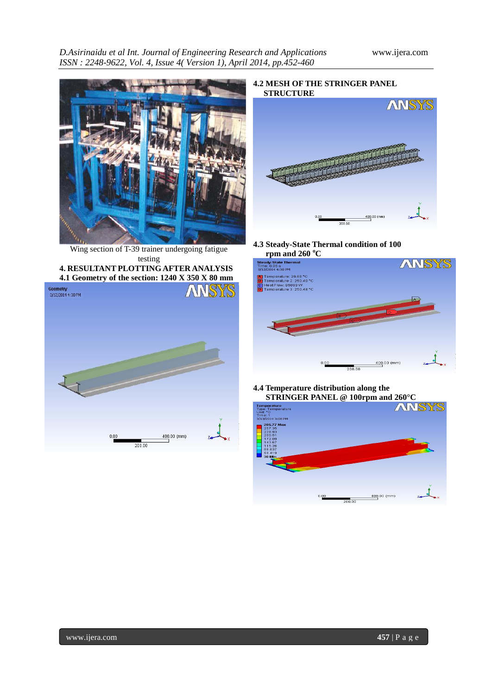

Wing section of T-39 trainer undergoing fatigue testing

**4. RESULTANT PLOTTING AFTER ANALYSIS 4.1 Geometry of the section: 1240 X 350 X 80 mm**



**4.2 MESH OF THE STRINGER PANEL STRUCTURE**



**4.3 Steady-State Thermal condition of 100 rpm and 260 <sup>o</sup>C**



**4.4 Temperature distribution along the**

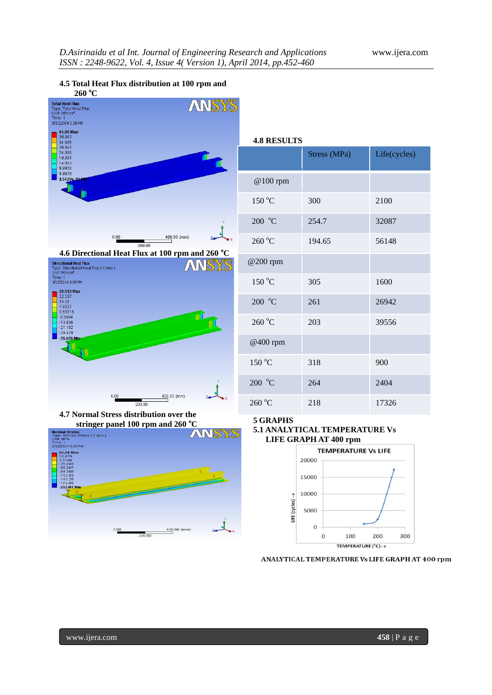# **4.5 Total Heat Flux distribution at 100 rpm and**





| <b>4.8 RESULTS</b> |              |              |  |  |
|--------------------|--------------|--------------|--|--|
|                    | Stress (MPa) | Life(cycles) |  |  |
| @100 rpm           |              |              |  |  |
| 150 °C             | 300          | 2100         |  |  |
| $200\text{ °C}$    | 254.7        | 32087        |  |  |
| 260 °C             | 194.65       | 56148        |  |  |
| @200 rpm           |              |              |  |  |
| 150 °C             | 305          | 1600         |  |  |
| 200 °C             | 261          | 26942        |  |  |
| 260 °C             | 203          | 39556        |  |  |
| @400 rpm           |              |              |  |  |
| 150 °C             | 318          | 900          |  |  |
| $200\text{ °C}$    | 264          | 2404         |  |  |
| $260^{\circ}$ C    | 218          | 17326        |  |  |

**4.7 Normal Stress distribution over the stringer panel 100 rpm and 260 <sup>o</sup>C**



## **5 GRAPHS 5.1 ANALYTICAL TEMPERATURE Vs LIFE GRAPH AT 400 rpm**



ANALYTICAL TEMPERATURE Vs LIFE GRAPH AT 400 rpm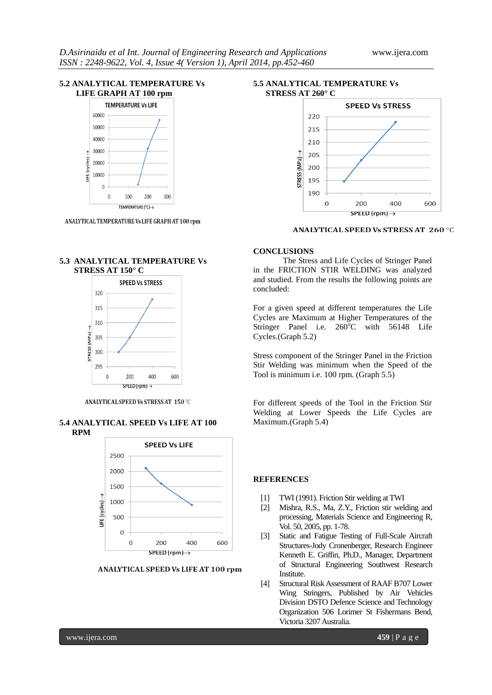## **5.2 ANALYTICAL TEMPERATURE Vs LIFE GRAPH AT 100 rpm**



ANALYTICAL TEMPERATURE Vs LIFE GRAPH AT 100 rpm

## **5.3 ANALYTICAL TEMPERATURE Vs STRESS AT 150° C**



ANALYTICAL SPEED Vs STRESS AT 150 °C

#### **5.4 ANALYTICAL SPEED Vs LIFE AT 100 RPM**



ANALYTICAL SPEED Vs LIFE AT 100 rpm

#### **5.5 ANALYTICAL TEMPERATURE Vs STRESS AT 260° C**



## **ANALYTICAL SPEED Vs STRESS AT 260 °C**

#### **CONCLUSIONS**

The Stress and Life Cycles of Stringer Panel in the FRICTION STIR WELDING was analyzed and studied. From the results the following points are concluded:

For a given speed at different temperatures the Life Cycles are Maximum at Higher Temperatures of the Stringer Panel i.e.  $260^{\circ}$ C with  $56148$  Life Cycles.(Graph 5.2)

Stress component of the Stringer Panel in the Friction Stir Welding was minimum when the Speed of the Tool is minimum i.e. 100 rpm. (Graph 5.5)

For different speeds of the Tool in the Friction Stir Welding at Lower Speeds the Life Cycles are Maximum.(Graph 5.4)

#### **REFERENCES**

- [1] TWI (1991). Friction Stir welding at TWI
- [2] Mishra, R.S., Ma, Z.Y., Friction stir welding and processing, Materials Science and Engineering R, Vol. 50, 2005, pp. 1-78.
- [3] Static and Fatigue Testing of Full-Scale Aircraft Structures-Jody Cronenberger, Research Engineer Kenneth E. Griffin, Ph.D., Manager, Department of Structural Engineering Southwest Research Institute.
- [4] Structural Risk Assessment of RAAF B707 Lower Wing Stringers, Published by Air Vehicles Division DSTO Defence Science and Technology Organization 506 Lorimer St Fishermans Bend, Victoria 3207 Australia.